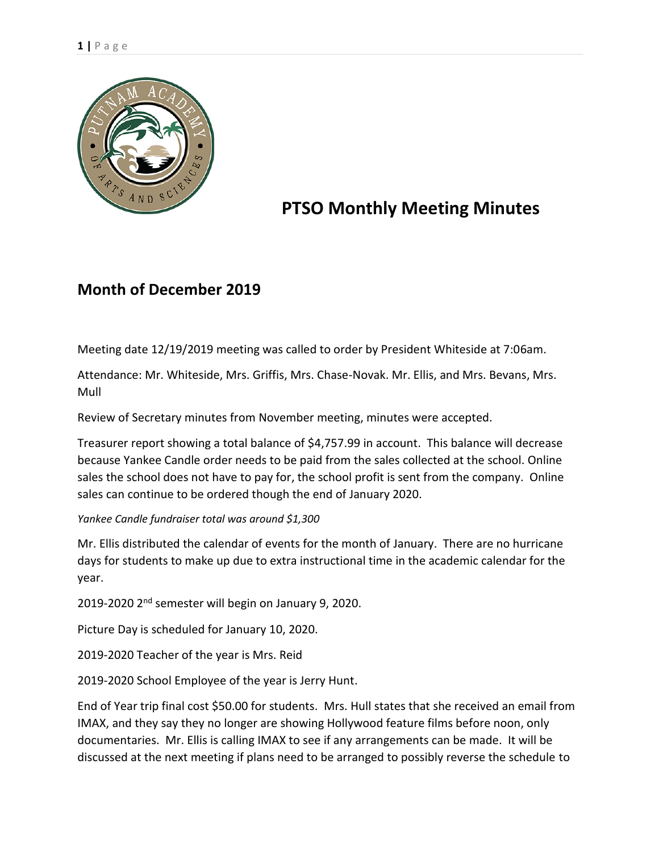

## **PTSO Monthly Meeting Minutes**

## **Month of December 2019**

Meeting date 12/19/2019 meeting was called to order by President Whiteside at 7:06am.

Attendance: Mr. Whiteside, Mrs. Griffis, Mrs. Chase-Novak. Mr. Ellis, and Mrs. Bevans, Mrs. Mull

Review of Secretary minutes from November meeting, minutes were accepted.

Treasurer report showing a total balance of \$4,757.99 in account. This balance will decrease because Yankee Candle order needs to be paid from the sales collected at the school. Online sales the school does not have to pay for, the school profit is sent from the company. Online sales can continue to be ordered though the end of January 2020.

*Yankee Candle fundraiser total was around \$1,300* 

Mr. Ellis distributed the calendar of events for the month of January. There are no hurricane days for students to make up due to extra instructional time in the academic calendar for the year.

2019-2020 2nd semester will begin on January 9, 2020.

Picture Day is scheduled for January 10, 2020.

2019-2020 Teacher of the year is Mrs. Reid

2019-2020 School Employee of the year is Jerry Hunt.

End of Year trip final cost \$50.00 for students. Mrs. Hull states that she received an email from IMAX, and they say they no longer are showing Hollywood feature films before noon, only documentaries. Mr. Ellis is calling IMAX to see if any arrangements can be made. It will be discussed at the next meeting if plans need to be arranged to possibly reverse the schedule to